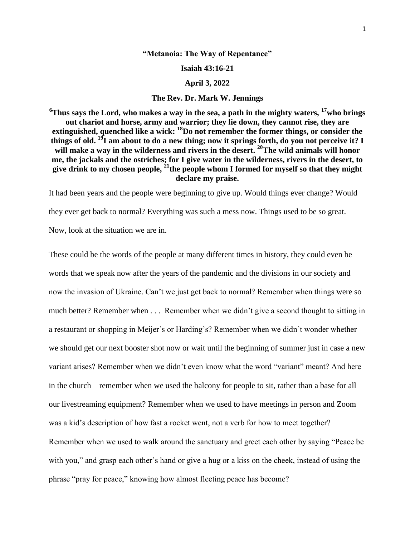## **"Metanoia: The Way of Repentance"**

**Isaiah 43:16-21**

## **April 3, 2022**

## **The Rev. Dr. Mark W. Jennings**

**<sup>6</sup>Thus says the Lord, who makes a way in the sea, a path in the mighty waters, <sup>17</sup>who brings out chariot and horse, army and warrior; they lie down, they cannot rise, they are extinguished, quenched like a wick: <sup>18</sup>Do not remember the former things, or consider the things of old. <sup>19</sup>I am about to do a new thing; now it springs forth, do you not perceive it? I will make a way in the wilderness and rivers in the desert. <sup>20</sup>The wild animals will honor me, the jackals and the ostriches; for I give water in the wilderness, rivers in the desert, to give drink to my chosen people, <sup>21</sup>the people whom I formed for myself so that they might declare my praise.**

It had been years and the people were beginning to give up. Would things ever change? Would they ever get back to normal? Everything was such a mess now. Things used to be so great. Now, look at the situation we are in.

These could be the words of the people at many different times in history, they could even be words that we speak now after the years of the pandemic and the divisions in our society and now the invasion of Ukraine. Can't we just get back to normal? Remember when things were so much better? Remember when . . . Remember when we didn't give a second thought to sitting in a restaurant or shopping in Meijer's or Harding's? Remember when we didn't wonder whether we should get our next booster shot now or wait until the beginning of summer just in case a new variant arises? Remember when we didn't even know what the word "variant" meant? And here in the church—remember when we used the balcony for people to sit, rather than a base for all our livestreaming equipment? Remember when we used to have meetings in person and Zoom was a kid's description of how fast a rocket went, not a verb for how to meet together? Remember when we used to walk around the sanctuary and greet each other by saying "Peace be with you," and grasp each other's hand or give a hug or a kiss on the cheek, instead of using the phrase "pray for peace," knowing how almost fleeting peace has become?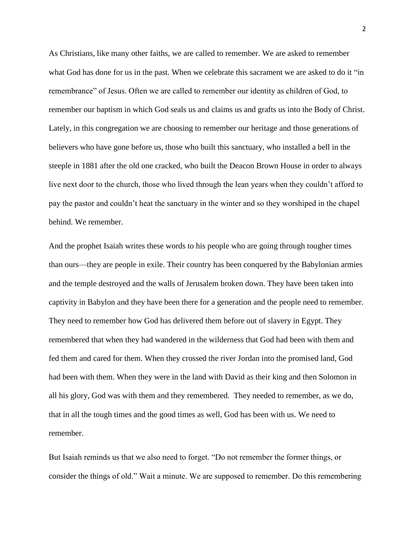As Christians, like many other faiths, we are called to remember. We are asked to remember what God has done for us in the past. When we celebrate this sacrament we are asked to do it "in remembrance" of Jesus. Often we are called to remember our identity as children of God, to remember our baptism in which God seals us and claims us and grafts us into the Body of Christ. Lately, in this congregation we are choosing to remember our heritage and those generations of believers who have gone before us, those who built this sanctuary, who installed a bell in the steeple in 1881 after the old one cracked, who built the Deacon Brown House in order to always live next door to the church, those who lived through the lean years when they couldn't afford to pay the pastor and couldn't heat the sanctuary in the winter and so they worshiped in the chapel behind. We remember.

And the prophet Isaiah writes these words to his people who are going through tougher times than ours—they are people in exile. Their country has been conquered by the Babylonian armies and the temple destroyed and the walls of Jerusalem broken down. They have been taken into captivity in Babylon and they have been there for a generation and the people need to remember. They need to remember how God has delivered them before out of slavery in Egypt. They remembered that when they had wandered in the wilderness that God had been with them and fed them and cared for them. When they crossed the river Jordan into the promised land, God had been with them. When they were in the land with David as their king and then Solomon in all his glory, God was with them and they remembered. They needed to remember, as we do, that in all the tough times and the good times as well, God has been with us. We need to remember.

But Isaiah reminds us that we also need to forget. "Do not remember the former things, or consider the things of old." Wait a minute. We are supposed to remember. Do this remembering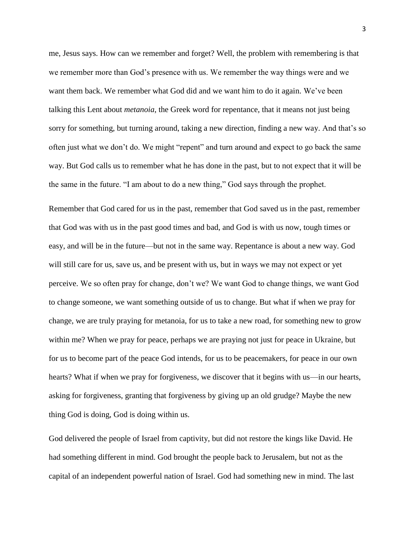me, Jesus says. How can we remember and forget? Well, the problem with remembering is that we remember more than God's presence with us. We remember the way things were and we want them back. We remember what God did and we want him to do it again. We've been talking this Lent about *metanoia*, the Greek word for repentance, that it means not just being sorry for something, but turning around, taking a new direction, finding a new way. And that's so often just what we don't do. We might "repent" and turn around and expect to go back the same way. But God calls us to remember what he has done in the past, but to not expect that it will be the same in the future. "I am about to do a new thing," God says through the prophet.

Remember that God cared for us in the past, remember that God saved us in the past, remember that God was with us in the past good times and bad, and God is with us now, tough times or easy, and will be in the future—but not in the same way. Repentance is about a new way. God will still care for us, save us, and be present with us, but in ways we may not expect or yet perceive. We so often pray for change, don't we? We want God to change things, we want God to change someone, we want something outside of us to change. But what if when we pray for change, we are truly praying for metanoia, for us to take a new road, for something new to grow within me? When we pray for peace, perhaps we are praying not just for peace in Ukraine, but for us to become part of the peace God intends, for us to be peacemakers, for peace in our own hearts? What if when we pray for forgiveness, we discover that it begins with us—in our hearts, asking for forgiveness, granting that forgiveness by giving up an old grudge? Maybe the new thing God is doing, God is doing within us.

God delivered the people of Israel from captivity, but did not restore the kings like David. He had something different in mind. God brought the people back to Jerusalem, but not as the capital of an independent powerful nation of Israel. God had something new in mind. The last